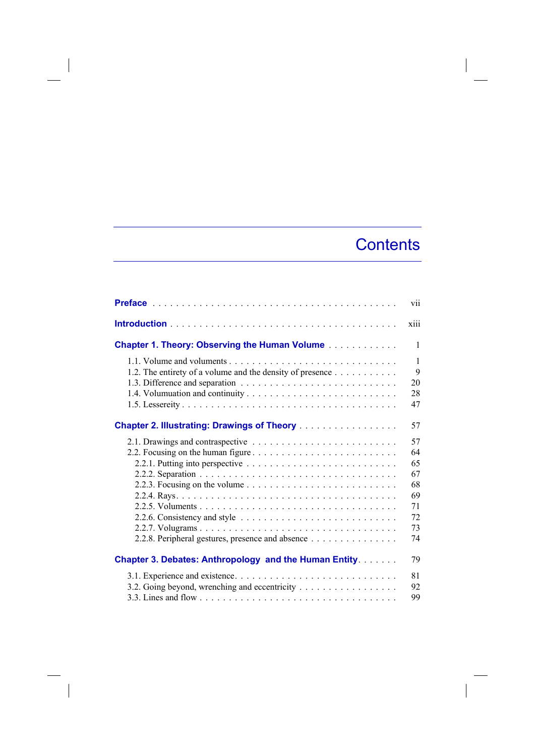## **Contents**

|                                                              | vii          |
|--------------------------------------------------------------|--------------|
|                                                              | xiii         |
| <b>Chapter 1. Theory: Observing the Human Volume</b>         | 1            |
|                                                              | $\mathbf{1}$ |
| 1.2. The entirety of a volume and the density of presence    | $\mathbf Q$  |
|                                                              | 20           |
|                                                              | 28           |
|                                                              | 47           |
| <b>Chapter 2. Illustrating: Drawings of Theory</b>           | 57           |
|                                                              | 57           |
|                                                              | 64           |
|                                                              | 65           |
|                                                              | 67           |
|                                                              | 68           |
|                                                              | 69           |
|                                                              | 71           |
|                                                              | 72           |
|                                                              | 73           |
| 2.2.8. Peripheral gestures, presence and absence             | 74           |
| <b>Chapter 3. Debates: Anthropology and the Human Entity</b> | 79           |
|                                                              | 81           |
| 3.2. Going beyond, wrenching and eccentricity                | 92           |
|                                                              | 99           |

 $\overline{\phantom{a}}$